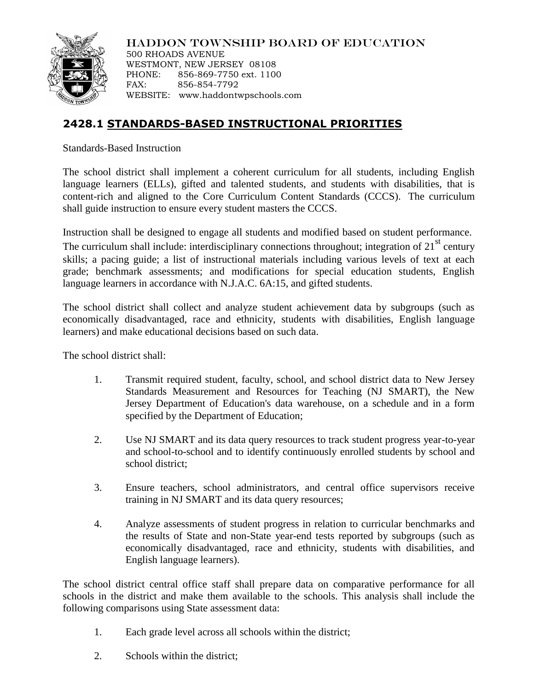

HADDON TOWNSHIP BOARD OF EDUCATION

500 RHOADS AVENUE WESTMONT, NEW JERSEY 08108 PHONE: 856-869-7750 ext. 1100 FAX: 856-854-7792 WEBSITE: www.haddontwpschools.com

## **2428.1 STANDARDS-BASED INSTRUCTIONAL PRIORITIES**

Standards-Based Instruction

The school district shall implement a coherent curriculum for all students, including English language learners (ELLs), gifted and talented students, and students with disabilities, that is content-rich and aligned to the Core Curriculum Content Standards (CCCS). The curriculum shall guide instruction to ensure every student masters the CCCS.

Instruction shall be designed to engage all students and modified based on student performance. The curriculum shall include: interdisciplinary connections throughout; integration of  $21<sup>st</sup>$  century skills; a pacing guide; a list of instructional materials including various levels of text at each grade; benchmark assessments; and modifications for special education students, English language learners in accordance with N.J.A.C. 6A:15, and gifted students.

The school district shall collect and analyze student achievement data by subgroups (such as economically disadvantaged, race and ethnicity, students with disabilities, English language learners) and make educational decisions based on such data.

The school district shall:

- 1. Transmit required student, faculty, school, and school district data to New Jersey Standards Measurement and Resources for Teaching (NJ SMART), the New Jersey Department of Education's data warehouse, on a schedule and in a form specified by the Department of Education;
- 2. Use NJ SMART and its data query resources to track student progress year-to-year and school-to-school and to identify continuously enrolled students by school and school district;
- 3. Ensure teachers, school administrators, and central office supervisors receive training in NJ SMART and its data query resources;
- 4. Analyze assessments of student progress in relation to curricular benchmarks and the results of State and non-State year-end tests reported by subgroups (such as economically disadvantaged, race and ethnicity, students with disabilities, and English language learners).

The school district central office staff shall prepare data on comparative performance for all schools in the district and make them available to the schools. This analysis shall include the following comparisons using State assessment data:

- 1. Each grade level across all schools within the district;
- 2. Schools within the district;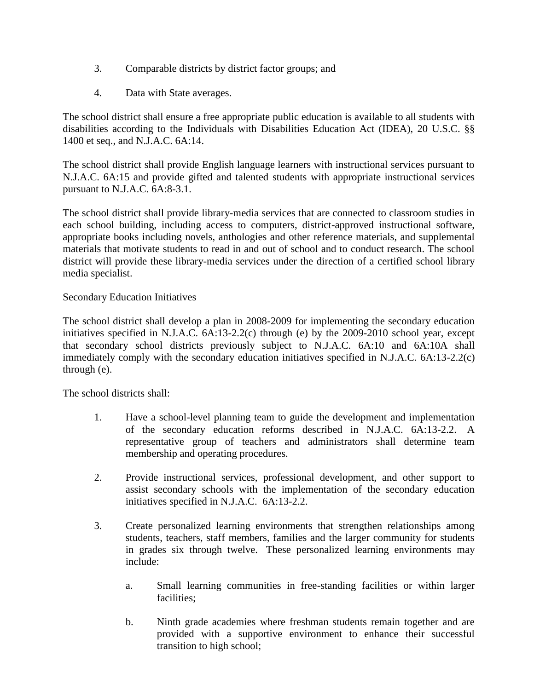- 3. Comparable districts by district factor groups; and
- 4. Data with State averages.

The school district shall ensure a free appropriate public education is available to all students with disabilities according to the Individuals with Disabilities Education Act (IDEA), 20 U.S.C. §§ 1400 et seq., and N.J.A.C. 6A:14.

The school district shall provide English language learners with instructional services pursuant to N.J.A.C. 6A:15 and provide gifted and talented students with appropriate instructional services pursuant to N.J.A.C. 6A:8-3.1.

The school district shall provide library-media services that are connected to classroom studies in each school building, including access to computers, district-approved instructional software, appropriate books including novels, anthologies and other reference materials, and supplemental materials that motivate students to read in and out of school and to conduct research. The school district will provide these library-media services under the direction of a certified school library media specialist.

## Secondary Education Initiatives

The school district shall develop a plan in 2008-2009 for implementing the secondary education initiatives specified in N.J.A.C. 6A:13-2.2(c) through (e) by the 2009-2010 school year, except that secondary school districts previously subject to N.J.A.C. 6A:10 and 6A:10A shall immediately comply with the secondary education initiatives specified in N.J.A.C. 6A:13-2.2(c) through (e).

The school districts shall:

- 1. Have a school-level planning team to guide the development and implementation of the secondary education reforms described in N.J.A.C. 6A:13-2.2. A representative group of teachers and administrators shall determine team membership and operating procedures.
- 2. Provide instructional services, professional development, and other support to assist secondary schools with the implementation of the secondary education initiatives specified in N.J.A.C. 6A:13-2.2.
- 3. Create personalized learning environments that strengthen relationships among students, teachers, staff members, families and the larger community for students in grades six through twelve. These personalized learning environments may include:
	- a. Small learning communities in free-standing facilities or within larger facilities;
	- b. Ninth grade academies where freshman students remain together and are provided with a supportive environment to enhance their successful transition to high school;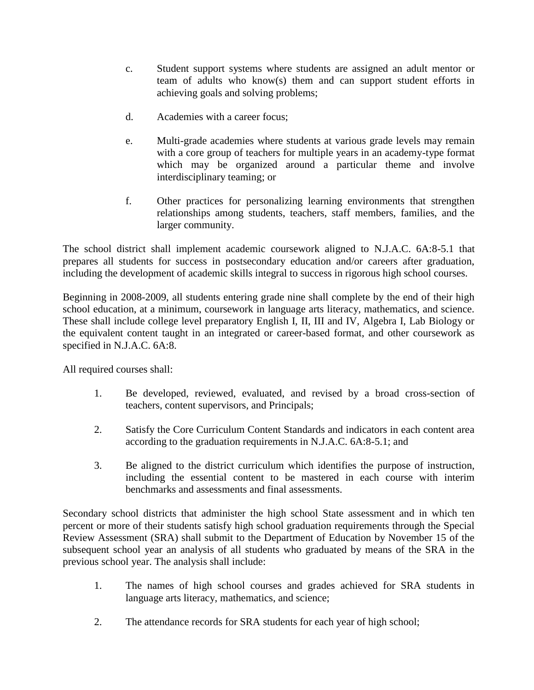- c. Student support systems where students are assigned an adult mentor or team of adults who know(s) them and can support student efforts in achieving goals and solving problems;
- d. Academies with a career focus;
- e. Multi-grade academies where students at various grade levels may remain with a core group of teachers for multiple years in an academy-type format which may be organized around a particular theme and involve interdisciplinary teaming; or
- f. Other practices for personalizing learning environments that strengthen relationships among students, teachers, staff members, families, and the larger community.

The school district shall implement academic coursework aligned to N.J.A.C. 6A:8-5.1 that prepares all students for success in postsecondary education and/or careers after graduation, including the development of academic skills integral to success in rigorous high school courses.

Beginning in 2008-2009, all students entering grade nine shall complete by the end of their high school education, at a minimum, coursework in language arts literacy, mathematics, and science. These shall include college level preparatory English I, II, III and IV, Algebra I, Lab Biology or the equivalent content taught in an integrated or career-based format, and other coursework as specified in N.J.A.C. 6A:8.

All required courses shall:

- 1. Be developed, reviewed, evaluated, and revised by a broad cross-section of teachers, content supervisors, and Principals;
- 2. Satisfy the Core Curriculum Content Standards and indicators in each content area according to the graduation requirements in N.J.A.C. 6A:8-5.1; and
- 3. Be aligned to the district curriculum which identifies the purpose of instruction, including the essential content to be mastered in each course with interim benchmarks and assessments and final assessments.

Secondary school districts that administer the high school State assessment and in which ten percent or more of their students satisfy high school graduation requirements through the Special Review Assessment (SRA) shall submit to the Department of Education by November 15 of the subsequent school year an analysis of all students who graduated by means of the SRA in the previous school year. The analysis shall include:

- 1. The names of high school courses and grades achieved for SRA students in language arts literacy, mathematics, and science;
- 2. The attendance records for SRA students for each year of high school;